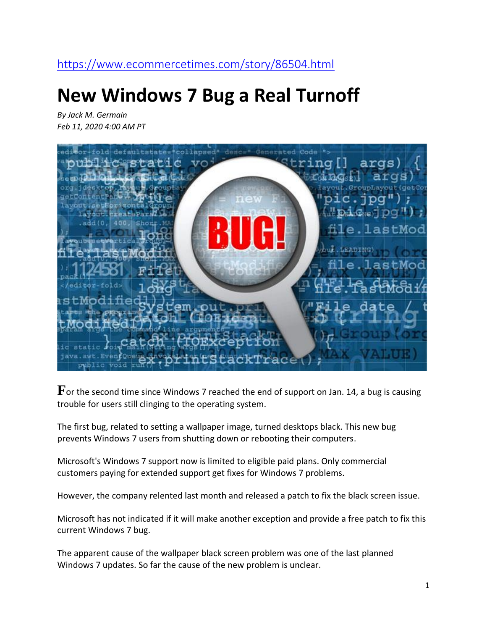#### <https://www.ecommercetimes.com/story/86504.html>

# **New Windows 7 Bug a Real Turnoff**

*By Jack M. Germain Feb 11, 2020 4:00 AM PT*



**F**or the second time since Windows 7 reached the end of support on Jan. 14, a bug is causing trouble for users still clinging to the operating system.

The first bug, related to setting a wallpaper image, turned desktops black. This new bug prevents Windows 7 users from shutting down or rebooting their computers.

Microsoft's Windows 7 support now is limited to eligible paid plans. Only commercial customers paying for extended support get fixes for Windows 7 problems.

However, the company relented last month and released a patch to fix the black screen issue.

Microsoft has not indicated if it will make another exception and provide a free patch to fix this current Windows 7 bug.

The apparent cause of the wallpaper black screen problem was one of the last planned Windows 7 updates. So far the cause of the new problem is unclear.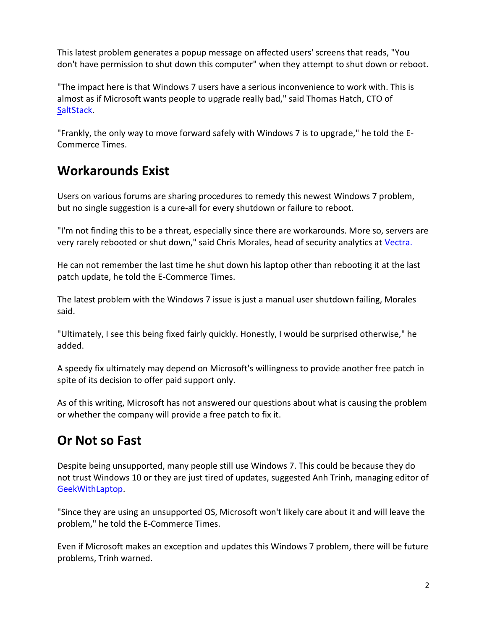This latest problem generates a popup message on affected users' screens that reads, "You don't have permission to shut down this computer" when they attempt to shut down or reboot.

"The impact here is that Windows 7 users have a serious inconvenience to work with. This is almost as if Microsoft wants people to upgrade really bad," said Thomas Hatch, CTO of [SaltStack.](http://www.saltstack.com/)

"Frankly, the only way to move forward safely with Windows 7 is to upgrade," he told the E-Commerce Times.

#### **Workarounds Exist**

Users on various forums are sharing procedures to remedy this newest Windows 7 problem, but no single suggestion is a cure-all for every shutdown or failure to reboot.

"I'm not finding this to be a threat, especially since there are workarounds. More so, servers are very rarely rebooted or shut down," said Chris Morales, head of security analytics at [Vectra.](http://www.vectra.ai/)

He can not remember the last time he shut down his laptop other than rebooting it at the last patch update, he told the E-Commerce Times.

The latest problem with the Windows 7 issue is just a manual user shutdown failing, Morales said.

"Ultimately, I see this being fixed fairly quickly. Honestly, I would be surprised otherwise," he added.

A speedy fix ultimately may depend on Microsoft's willingness to provide another free patch in spite of its decision to offer paid support only.

As of this writing, Microsoft has not answered our questions about what is causing the problem or whether the company will provide a free patch to fix it.

## **Or Not so Fast**

Despite being unsupported, many people still use Windows 7. This could be because they do not trust Windows 10 or they are just tired of updates, suggested Anh Trinh, managing editor of [GeekWithLaptop.](https://www.geekwithlaptop.com/)

"Since they are using an unsupported OS, Microsoft won't likely care about it and will leave the problem," he told the E-Commerce Times.

Even if Microsoft makes an exception and updates this Windows 7 problem, there will be future problems, Trinh warned.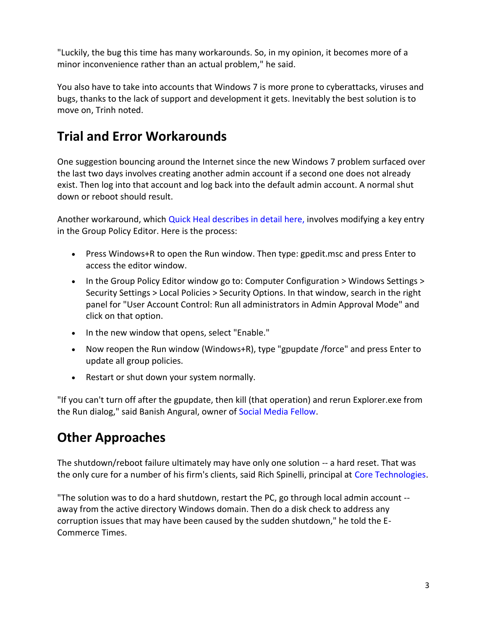"Luckily, the bug this time has many workarounds. So, in my opinion, it becomes more of a minor inconvenience rather than an actual problem," he said.

You also have to take into accounts that Windows 7 is more prone to cyberattacks, viruses and bugs, thanks to the lack of support and development it gets. Inevitably the best solution is to move on, Trinh noted.

## **Trial and Error Workarounds**

One suggestion bouncing around the Internet since the new Windows 7 problem surfaced over the last two days involves creating another admin account if a second one does not already exist. Then log into that account and log back into the default admin account. A normal shut down or reboot should result.

Another workaround, which [Quick Heal describes in detail here,](https://esupport.quickheal.com/support/solutions/articles/23000020281) involves modifying a key entry in the Group Policy Editor. Here is the process:

- Press Windows+R to open the Run window. Then type: gpedit.msc and press Enter to access the editor window.
- In the Group Policy Editor window go to: Computer Configuration > Windows Settings > Security Settings > Local Policies > Security Options. In that window, search in the right panel for "User Account Control: Run all administrators in Admin Approval Mode" and click on that option.
- In the new window that opens, select "Enable."
- Now reopen the Run window (Windows+R), type "gpupdate /force" and press Enter to update all group policies.
- Restart or shut down your system normally.

"If you can't turn off after the gpupdate, then kill (that operation) and rerun Explorer.exe from the Run dialog," said Banish Angural, owner of [Social Media Fellow.](http://www.socialmediafellow.com/)

#### **Other Approaches**

The shutdown/reboot failure ultimately may have only one solution -- a hard reset. That was the only cure for a number of his firm's clients, said Rich Spinelli, principal at [Core Technologies.](http://www.c-ore.com/)

"The solution was to do a hard shutdown, restart the PC, go through local admin account - away from the active directory Windows domain. Then do a disk check to address any corruption issues that may have been caused by the sudden shutdown," he told the E-Commerce Times.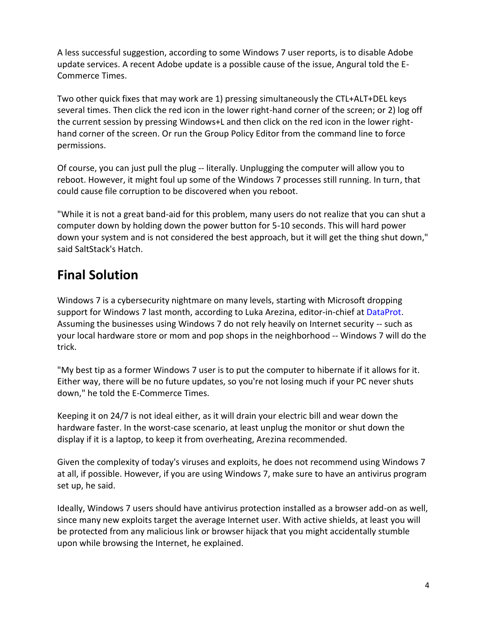A less successful suggestion, according to some Windows 7 user reports, is to disable Adobe update services. A recent Adobe update is a possible cause of the issue, Angural told the E-Commerce Times.

Two other quick fixes that may work are 1) pressing simultaneously the CTL+ALT+DEL keys several times. Then click the red icon in the lower right-hand corner of the screen; or 2) log off the current session by pressing Windows+L and then click on the red icon in the lower righthand corner of the screen. Or run the Group Policy Editor from the command line to force permissions.

Of course, you can just pull the plug -- literally. Unplugging the computer will allow you to reboot. However, it might foul up some of the Windows 7 processes still running. In turn, that could cause file corruption to be discovered when you reboot.

"While it is not a great band-aid for this problem, many users do not realize that you can shut a computer down by holding down the power button for 5-10 seconds. This will hard power down your system and is not considered the best approach, but it will get the thing shut down," said SaltStack's Hatch.

#### **Final Solution**

Windows 7 is a cybersecurity nightmare on many levels, starting with Microsoft dropping support for Windows 7 last month, according to Luka Arezina, editor-in-chief at [DataProt.](https://dataprot.net/) Assuming the businesses using Windows 7 do not rely heavily on Internet security -- such as your local hardware store or mom and pop shops in the neighborhood -- Windows 7 will do the trick.

"My best tip as a former Windows 7 user is to put the computer to hibernate if it allows for it. Either way, there will be no future updates, so you're not losing much if your PC never shuts down," he told the E-Commerce Times.

Keeping it on 24/7 is not ideal either, as it will drain your electric bill and wear down the hardware faster. In the worst-case scenario, at least unplug the monitor or shut down the display if it is a laptop, to keep it from overheating, Arezina recommended.

Given the complexity of today's viruses and exploits, he does not recommend using Windows 7 at all, if possible. However, if you are using Windows 7, make sure to have an antivirus program set up, he said.

Ideally, Windows 7 users should have antivirus protection installed as a browser add-on as well, since many new exploits target the average Internet user. With active shields, at least you will be protected from any malicious link or browser hijack that you might accidentally stumble upon while browsing the Internet, he explained.